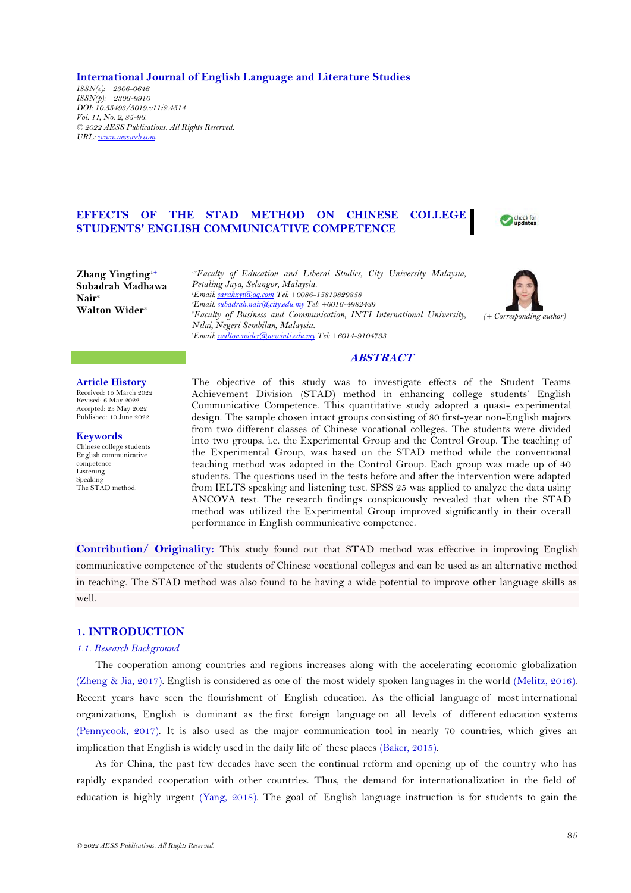**International Journal of English Language and Literature Studies**

*ISSN(e): 2306-0646 ISSN(p): 2306-9910 DOI: 10.55493/5019.v11i2.4514 Vol. 11, No. 2, 85-96. © 2022 AESS Publications. All Rights Reserved. URL: [www.aessweb.com](http://www.aessweb.com/)*

# **EFFECTS OF THE STAD METHOD ON CHINESE COLLEGE STUDENTS' ENGLISH COMMUNICATIVE COMPETENCE**

**Zhang Yingting1+ Subadrah Madhawa Nair<sup>2</sup> Walton Wider<sup>3</sup>**

*1,2Faculty of Education and Liberal Studies, City University Malaysia, Petaling Jaya, Selangor, Malaysia. <sup>1</sup>Email[: sarahzyt@qq.com](mailto:sarahzyt@qq.com) Tel: +0086-15819829858 <sup>2</sup>Email[: subadrah.nair@city.edu.my](mailto:subadrah.nair@city.edu.my) Tel: +6016-4982439 <sup>3</sup>Faculty of Business and Communication, INTI International University, Nilai, Negeri Sembilan, Malaysia. <sup>3</sup>Email[: walton.wider@newinti.edu.my](mailto:walton.wider@newinti.edu.my) Tel: +6014-9104733*



Check for

# **ABSTRACT**

**Article History** Received: 15 March 2022 Revised: 6 May 2022 Accepted: 23 May 2022 Published: 10 June 2022

**Keywords** Chinese college students English communicative competence Listening Speaking The STAD method.

The objective of this study was to investigate effects of the Student Teams Achievement Division (STAD) method in enhancing college students' English Communicative Competence. This quantitative study adopted a quasi- experimental design. The sample chosen intact groups consisting of 80 first-year non-English majors from two different classes of Chinese vocational colleges. The students were divided into two groups, i.e. the Experimental Group and the Control Group. The teaching of the Experimental Group, was based on the STAD method while the conventional teaching method was adopted in the Control Group. Each group was made up of 40 students. The questions used in the tests before and after the intervention were adapted from IELTS speaking and listening test. SPSS 25 was applied to analyze the data using ANCOVA test. The research findings conspicuously revealed that when the STAD method was utilized the Experimental Group improved significantly in their overall performance in English communicative competence.

**Contribution/ Originality:** This study found out that STAD method was effective in improving English communicative competence of the students of Chinese vocational colleges and can be used as an alternative method in teaching. The STAD method was also found to be having a wide potential to improve other language skills as well.

# **1. INTRODUCTION**

#### *1.1. Research Background*

The cooperation among countries and regions increases along with the accelerating economic globalization [\(Zheng & Jia, 2017\)](#page-11-0). English is considered as one of the most widely spoken languages in the world [\(Melitz, 2016\)](#page-10-0). Recent years have seen the flourishment of English education. As the official language of most international organizations, English is dominant as the first foreign language on all levels of different education systems [\(Pennycook, 2017\)](#page-10-1). It is also used as the major communication tool in nearly 70 countries, which gives an implication that English is widely used in the daily life of these places [\(Baker, 2015\)](#page-9-0).

As for China, the past few decades have seen the continual reform and opening up of the country who has rapidly expanded cooperation with other countries. Thus, the demand for internationalization in the field of education is highly urgent [\(Yang, 2018\)](#page-11-1). The goal of English language instruction is for students to gain the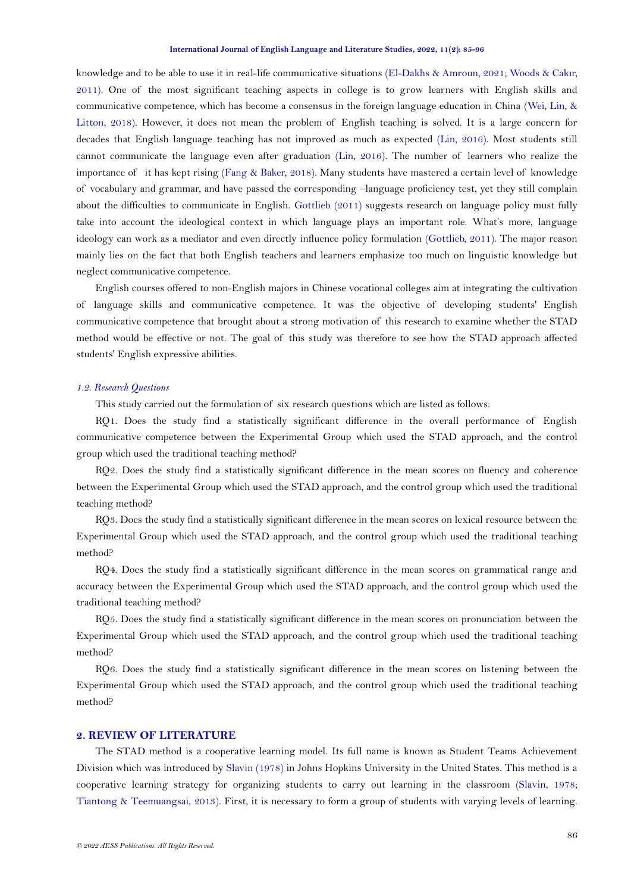knowledge and to be able to use it in real-life communicative situations [\(El-Dakhs & Amroun, 2021;](#page-10-2) [Woods & Cak](#page-11-2)ır, [2011\)](#page-11-2). One of the most significant teaching aspects in college is to grow learners with English skills and communicative competence, which has become a consensus in the foreign language education in China [\(Wei, Lin, &](#page-11-3)  [Litton, 2018\)](#page-11-3). However, it does not mean the problem of English teaching is solved. It is a large concern for decades that English language teaching has not improved as much as expected [\(Lin, 2016\)](#page-10-3). Most students still cannot communicate the language even after graduation [\(Lin, 2016\)](#page-10-3). The number of learners who realize the importance of it has kept rising [\(Fang & Baker, 2018\)](#page-10-4). Many students have mastered a certain level of knowledge of vocabulary and grammar, and have passed the corresponding –language proficiency test, yet they still complain about the difficulties to communicate in English. [Gottlieb \(2011\)](#page-10-5) suggests research on language policy must fully take into account the ideological context in which language plays an important role. What's more, language ideology can work as a mediator and even directly influence policy formulation [\(Gottlieb, 2011\)](#page-10-5). The major reason mainly lies on the fact that both English teachers and learners emphasize too much on linguistic knowledge but neglect communicative competence.

English courses offered to non-English majors in Chinese vocational colleges aim at integrating the cultivation of language skills and communicative competence. It was the objective of developing students' English communicative competence that brought about a strong motivation of this research to examine whether the STAD method would be effective or not. The goal of this study was therefore to see how the STAD approach affected students' English expressive abilities.

### *1.2. Research Questions*

This study carried out the formulation of six research questions which are listed as follows:

RQ1. Does the study find a statistically significant difference in the overall performance of English communicative competence between the Experimental Group which used the STAD approach, and the control group which used the traditional teaching method?

RQ2. Does the study find a statistically significant difference in the mean scores on fluency and coherence between the Experimental Group which used the STAD approach, and the control group which used the traditional teaching method?

RQ3. Does the study find a statistically significant difference in the mean scores on lexical resource between the Experimental Group which used the STAD approach, and the control group which used the traditional teaching method?

RQ4. Does the study find a statistically significant difference in the mean scores on grammatical range and accuracy between the Experimental Group which used the STAD approach, and the control group which used the traditional teaching method?

RQ5. Does the study find a statistically significant difference in the mean scores on pronunciation between the Experimental Group which used the STAD approach, and the control group which used the traditional teaching method?

RQ6. Does the study find a statistically significant difference in the mean scores on listening between the Experimental Group which used the STAD approach, and the control group which used the traditional teaching method?

### **2. REVIEW OF LITERATURE**

The STAD method is a cooperative learning model. Its full name is known as Student Teams Achievement Division which was introduced by [Slavin \(1978\)](#page-11-4) in Johns Hopkins University in the United States. This method is a cooperative learning strategy for organizing students to carry out learning in the classroom [\(Slavin, 1978;](#page-11-4) [Tiantong & Teemuangsai, 2013\)](#page-11-5). First, it is necessary to form a group of students with varying levels of learning.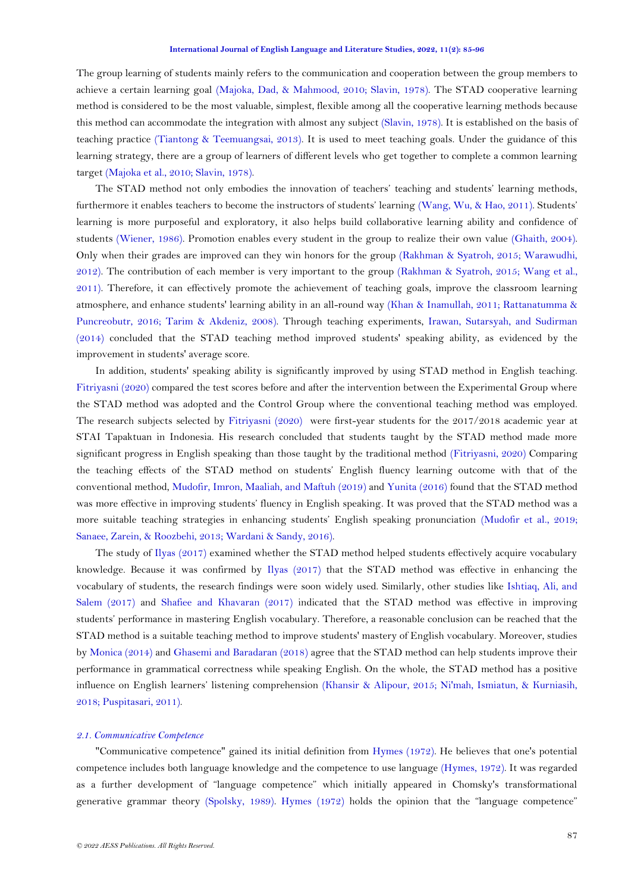The group learning of students mainly refers to the communication and cooperation between the group members to achieve a certain learning goal [\(Majoka, Dad, & Mahmood, 2010;](#page-10-6) [Slavin, 1978\)](#page-11-4). The STAD cooperative learning method is considered to be the most valuable, simplest, flexible among all the cooperative learning methods because this method can accommodate the integration with almost any subject [\(Slavin, 1978\)](#page-11-4). It is established on the basis of teaching practice [\(Tiantong & Teemuangsai, 2013\)](#page-11-5). It is used to meet teaching goals. Under the guidance of this learning strategy, there are a group of learners of different levels who get together to complete a common learning target [\(Majoka et al., 2010;](#page-10-6) [Slavin, 1978\)](#page-11-4).

The STAD method not only embodies the innovation of teachers' teaching and students' learning methods, furthermore it enables teachers to become the instructors of students' learning [\(Wang, Wu, & Hao, 2011\)](#page-11-6). Students' learning is more purposeful and exploratory, it also helps build collaborative learning ability and confidence of students [\(Wiener, 1986\)](#page-11-7). Promotion enables every student in the group to realize their own value [\(Ghaith, 2004\)](#page-10-7). Only when their grades are improved can they win honors for the group [\(Rakhman & Syatroh, 2015;](#page-11-8) [Warawudhi,](#page-11-9)  [2012\)](#page-11-9). The contribution of each member is very important to the group [\(Rakhman & Syatroh, 2015;](#page-11-8) [Wang et al.,](#page-11-6)  [2011\)](#page-11-6). Therefore, it can effectively promote the achievement of teaching goals, improve the classroom learning atmosphere, and enhance students' learning ability in an all-round way [\(Khan & Inamullah, 2011;](#page-10-8) [Rattanatumma &](#page-11-10)  [Puncreobutr, 2016;](#page-11-10) [Tarim & Akdeniz, 2008\)](#page-11-11). Through teaching experiments, Irawan, [Sutarsyah, and Sudirman](#page-10-9)  [\(2014\)](#page-10-9) concluded that the STAD teaching method improved students' speaking ability, as evidenced by the improvement in students' average score.

In addition, students' speaking ability is significantly improved by using STAD method in English teaching. [Fitriyasni \(2020\)](#page-10-10) compared the test scores before and after the intervention between the Experimental Group where the STAD method was adopted and the Control Group where the conventional teaching method was employed. The research subjects selected by [Fitriyasni \(2020\)](#page-10-10) were first-year students for the 2017/2018 academic year at STAI Tapaktuan in Indonesia. His research concluded that students taught by the STAD method made more significant progress in English speaking than those taught by the traditional method [\(Fitriyasni, 2020\)](#page-10-10) Comparing the teaching effects of the STAD method on students' English fluency learning outcome with that of the conventional method, [Mudofir, Imron, Maaliah, and Maftuh \(2019\)](#page-10-11) and [Yunita \(2016\)](#page-11-12) found that the STAD method was more effective in improving students' fluency in English speaking. It was proved that the STAD method was a more suitable teaching strategies in enhancing students' English speaking pronunciation [\(Mudofir et al., 2019;](#page-10-11) [Sanaee, Zarein, & Roozbehi, 2013;](#page-11-13) [Wardani & Sandy, 2016\)](#page-11-14).

The study of [Ilyas \(2017\)](#page-10-12) examined whether the STAD method helped students effectively acquire vocabulary knowledge. Because it was confirmed by [Ilyas \(2017\)](#page-10-12) that the STAD method was effective in enhancing the vocabulary of students, the research findings were soon widely used. Similarly, other studies like [Ishtiaq, Ali, and](#page-10-13)  [Salem \(2017\)](#page-10-13) and [Shafiee and Khavaran \(2017\)](#page-11-15) indicated that the STAD method was effective in improving students' performance in mastering English vocabulary. Therefore, a reasonable conclusion can be reached that the STAD method is a suitable teaching method to improve students' mastery of English vocabulary. Moreover, studies b[y Monica \(2014\)](#page-10-14) and [Ghasemi and Baradaran \(2018\)](#page-10-15) agree that the STAD method can help students improve their performance in grammatical correctness while speaking English. On the whole, the STAD method has a positive influence on English learners' listening comprehension [\(Khansir & Alipour, 2015;](#page-10-16) [Ni'mah, Ismiatun, & Kurniasih,](#page-10-17)  [2018;](#page-10-17) [Puspitasari, 2011\)](#page-11-16).

### *2.1. Communicative Competence*

"Communicative competence" gained its initial definition from [Hymes \(1972\)](#page-10-18). He believes that one's potential competence includes both language knowledge and the competence to use language [\(Hymes, 1972\)](#page-10-18). It was regarded as a further development of "language competence" which initially appeared in Chomsky's transformational generative grammar theory [\(Spolsky, 1989\)](#page-11-17). [Hymes \(1972\)](#page-10-18) holds the opinion that the "language competence"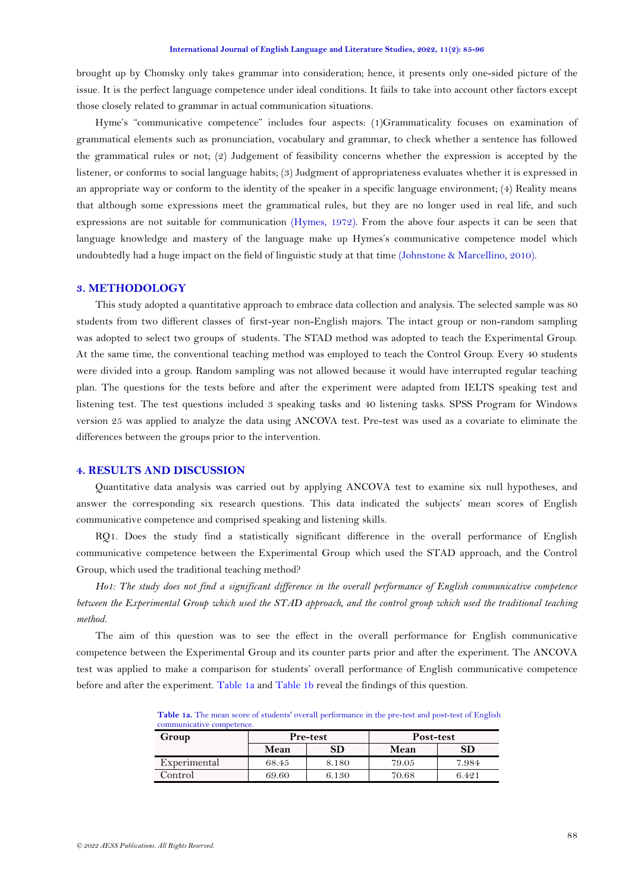brought up by Chomsky only takes grammar into consideration; hence, it presents only one-sided picture of the issue. It is the perfect language competence under ideal conditions. It fails to take into account other factors except those closely related to grammar in actual communication situations.

Hyme's "communicative competence" includes four aspects: (1)Grammaticality focuses on examination of grammatical elements such as pronunciation, vocabulary and grammar, to check whether a sentence has followed the grammatical rules or not; (2) Judgement of feasibility concerns whether the expression is accepted by the listener, or conforms to social language habits; (3) Judgment of appropriateness evaluates whether it is expressed in an appropriate way or conform to the identity of the speaker in a specific language environment; (4) Reality means that although some expressions meet the grammatical rules, but they are no longer used in real life, and such expressions are not suitable for communication [\(Hymes, 1972\)](#page-10-18). From the above four aspects it can be seen that language knowledge and mastery of the language make up Hymes's communicative competence model which undoubtedly had a huge impact on the field of linguistic study at that time [\(Johnstone & Marcellino, 2010\)](#page-10-19).

## **3. METHODOLOGY**

This study adopted a quantitative approach to embrace data collection and analysis. The selected sample was 80 students from two different classes of first-year non-English majors. The intact group or non-random sampling was adopted to select two groups of students. The STAD method was adopted to teach the Experimental Group. At the same time, the conventional teaching method was employed to teach the Control Group. Every 40 students were divided into a group. Random sampling was not allowed because it would have interrupted regular teaching plan. The questions for the tests before and after the experiment were adapted from IELTS speaking test and listening test. The test questions included 3 speaking tasks and 40 listening tasks. SPSS Program for Windows version 25 was applied to analyze the data using ANCOVA test. Pre-test was used as a covariate to eliminate the differences between the groups prior to the intervention.

### **4. RESULTS AND DISCUSSION**

Quantitative data analysis was carried out by applying ANCOVA test to examine six null hypotheses, and answer the corresponding six research questions. This data indicated the subjects' mean scores of English communicative competence and comprised speaking and listening skills.

RQ1. Does the study find a statistically significant difference in the overall performance of English communicative competence between the Experimental Group which used the STAD approach, and the Control Group, which used the traditional teaching method?

*Ho1: The study does not find a significant difference in the overall performance of English communicative competence between the Experimental Group which used the STAD approach, and the control group which used the traditional teaching method.*

<span id="page-3-0"></span>The aim of this question was to see the effect in the overall performance for English communicative competence between the Experimental Group and its counter parts prior and after the experiment. The ANCOVA test was applied to make a comparison for students' overall performance of English communicative competence before and after the experiment[. Table 1a](#page-3-0) and [Table 1b](#page-4-0) reveal the findings of this question.

**Table 1a.** The mean score of students' overall performance in the pre-test and post-test of English communicative competence.

| Group        | <b>Pre-test</b> |            | Post-test |       |
|--------------|-----------------|------------|-----------|-------|
|              | Mean            | ${\rm SD}$ | Mean      | SD    |
| Experimental | 68.45           | 8.180      | 79.05     | 7.984 |
| Control      | 69.60           | 6.130      | 70.68     | 6.421 |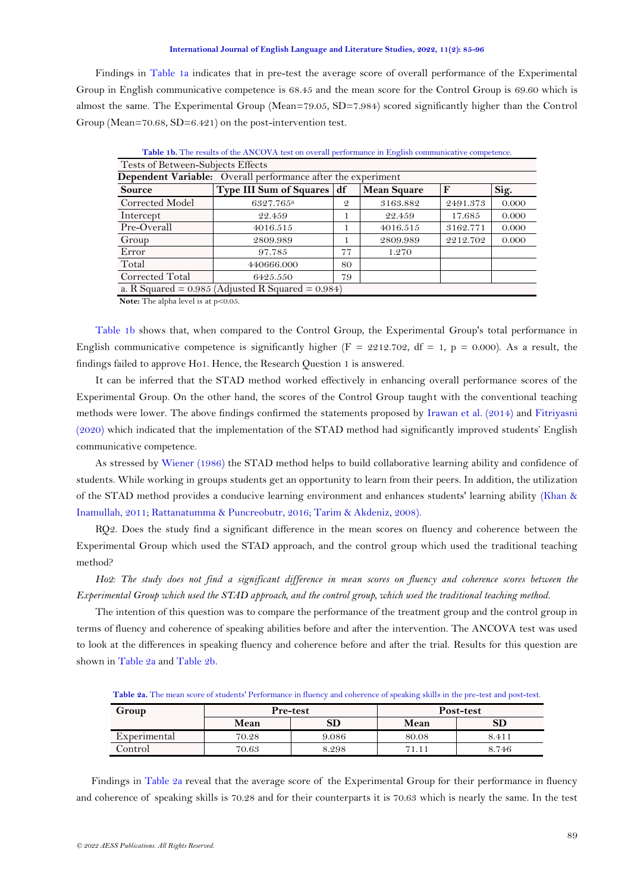Findings in [Table 1a](#page-3-0) indicates that in pre-test the average score of overall performance of the Experimental Group in English communicative competence is 68.45 and the mean score for the Control Group is 69.60 which is almost the same. The Experimental Group (Mean=79.05, SD=7.984) scored significantly higher than the Control Group (Mean=70.68, SD=6.421) on the post-intervention test.

<span id="page-4-0"></span>

|                                                                     | <b>Table 1b.</b> The results of the ANCOVA test on overall performance in English communicative competence. |               |                    |             |       |  |
|---------------------------------------------------------------------|-------------------------------------------------------------------------------------------------------------|---------------|--------------------|-------------|-------|--|
| Tests of Between-Subjects Effects                                   |                                                                                                             |               |                    |             |       |  |
| <b>Dependent Variable:</b> Overall performance after the experiment |                                                                                                             |               |                    |             |       |  |
| <b>Source</b>                                                       | <b>Type III Sum of Squares</b>                                                                              | df            | <b>Mean Square</b> | $\mathbf F$ | Sig.  |  |
| Corrected Model                                                     | 6327.765 <sup>a</sup>                                                                                       | $\mathcal{Q}$ | 3163.882           | 2491.373    | 0.000 |  |
| Intercept                                                           | 22.459                                                                                                      |               | 22.459             | 17.685      | 0.000 |  |
| Pre-Overall                                                         | 4016.515                                                                                                    |               | 4016.515           | 3162.771    | 0.000 |  |
| Group                                                               | 2809.989                                                                                                    |               | 2809.989           | 2212.702    | 0.000 |  |
| Error                                                               | 97.785                                                                                                      | 77            | 1.270              |             |       |  |
| Total                                                               | 440666.000                                                                                                  | 80            |                    |             |       |  |
| Corrected Total                                                     | 6425.550                                                                                                    | 79            |                    |             |       |  |
|                                                                     | a. R Squared = $0.985$ (Adjusted R Squared = $0.984$ )                                                      |               |                    |             |       |  |

**Note:** The alpha level is at p<0.05.

[Table 1b](#page-4-0) shows that, when compared to the Control Group, the Experimental Group's total performance in English communicative competence is significantly higher ( $F = 2212.702$ , df = 1, p = 0.000). As a result, the findings failed to approve Ho1. Hence, the Research Question 1 is answered.

It can be inferred that the STAD method worked effectively in enhancing overall performance scores of the Experimental Group. On the other hand, the scores of the Control Group taught with the conventional teaching methods were lower. The above findings confirmed the statements proposed by [Irawan et al. \(2014\)](#page-10-9) and [Fitriyasni](#page-10-10)  [\(2020\)](#page-10-10) which indicated that the implementation of the STAD method had significantly improved students' English communicative competence.

As stressed by [Wiener \(1986\)](#page-11-7) the STAD method helps to build collaborative learning ability and confidence of students. While working in groups students get an opportunity to learn from their peers. In addition, the utilization of the STAD method provides a conducive learning environment and enhances students' learning ability [\(Khan &](#page-10-8)  [Inamullah, 2011;](#page-10-8) [Rattanatumma & Puncreobutr, 2016;](#page-11-10) [Tarim & Akdeniz, 2008\)](#page-11-11).

RQ2. Does the study find a significant difference in the mean scores on fluency and coherence between the Experimental Group which used the STAD approach, and the control group which used the traditional teaching method?

*Ho2: The study does not find a significant difference in mean scores on fluency and coherence scores between the Experimental Group which used the STAD approach, and the control group, which used the traditional teaching method.*

The intention of this question was to compare the performance of the treatment group and the control group in terms of fluency and coherence of speaking abilities before and after the intervention. The ANCOVA test was used to look at the differences in speaking fluency and coherence before and after the trial. Results for this question are shown in [Table 2a](#page-4-1) and [Table 2b.](#page-5-0)

**Table 2a.** The mean score of students' Performance in fluency and coherence of speaking skills in the pre-test and post-test.

<span id="page-4-1"></span>

| Group        | <b>Pre-test</b> |            |       | Post-test |
|--------------|-----------------|------------|-------|-----------|
|              | Mean            | ${\bf SD}$ | Mean  |           |
| Experimental | 70.28           | 9.086      | 80.08 | 8.411     |
| Control      | 70.63           | 8.298      | 71.11 | 8.746     |

Findings in [Table 2a](#page-4-1) reveal that the average score of the Experimental Group for their performance in fluency and coherence of speaking skills is 70.28 and for their counterparts it is 70.63 which is nearly the same. In the test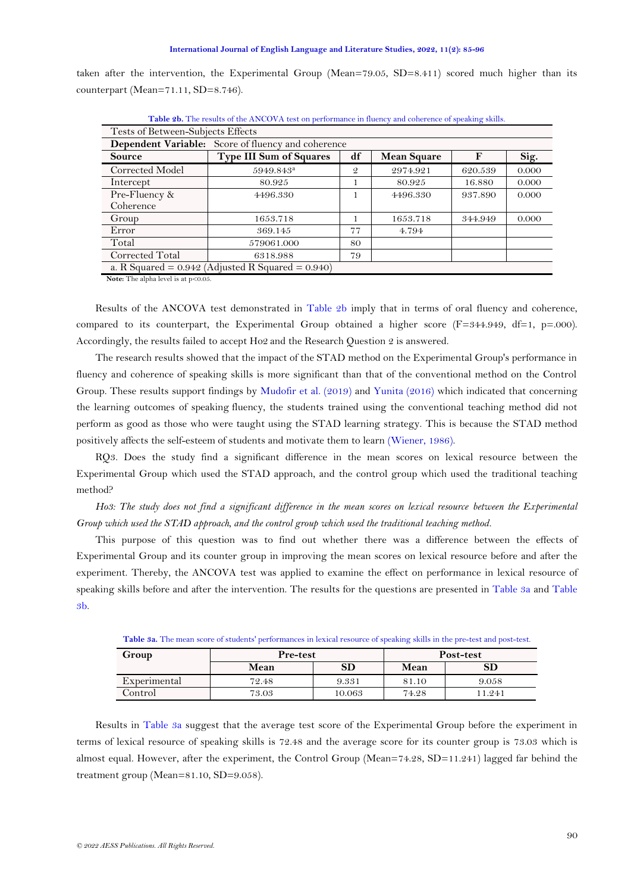taken after the intervention, the Experimental Group (Mean=79.05, SD=8.411) scored much higher than its counterpart (Mean=71.11, SD=8.746).

<span id="page-5-0"></span>

| Tests of Between-Subjects Effects                  |                                                        |               |                    |         |       |  |
|----------------------------------------------------|--------------------------------------------------------|---------------|--------------------|---------|-------|--|
| Dependent Variable: Score of fluency and coherence |                                                        |               |                    |         |       |  |
| <b>Source</b>                                      | <b>Type III Sum of Squares</b>                         | df            | <b>Mean Square</b> | F       | Sig.  |  |
| Corrected Model                                    | 5949.843 <sup>a</sup>                                  | $\mathcal{Q}$ | 2974.921           | 620.539 | 0.000 |  |
| Intercept                                          | 80.925                                                 |               | 80.925             | 16.880  | 0.000 |  |
| Pre-Fluency &                                      | 4496.330                                               | 1             | 4496.330           | 937.890 | 0.000 |  |
| Coherence                                          |                                                        |               |                    |         |       |  |
| Group                                              | 1653.718                                               |               | 1653.718           | 344.949 | 0.000 |  |
| Error                                              | 369.145                                                | 77            | 4.794              |         |       |  |
| Total                                              | 579061.000                                             | 80            |                    |         |       |  |
| Corrected Total                                    | 6318.988                                               | 79            |                    |         |       |  |
|                                                    | a. R Squared = $0.942$ (Adjusted R Squared = $0.940$ ) |               |                    |         |       |  |

**Table 2b.** The results of the ANCOVA test on performance in fluency and coherence of speaking skills.

**Note:** The alpha level is at p<0.05.

Results of the ANCOVA test demonstrated in [Table 2b](#page-5-0) imply that in terms of oral fluency and coherence, compared to its counterpart, the Experimental Group obtained a higher score  $(F=344.949, df=1, p=.000)$ . Accordingly, the results failed to accept Ho2 and the Research Question 2 is answered.

The research results showed that the impact of the STAD method on the Experimental Group's performance in fluency and coherence of speaking skills is more significant than that of the conventional method on the Control Group. These results support findings by [Mudofir et al. \(2019\)](#page-10-11) and [Yunita \(2016\)](#page-11-12) which indicated that concerning the learning outcomes of speaking fluency, the students trained using the conventional teaching method did not perform as good as those who were taught using the STAD learning strategy. This is because the STAD method positively affects the self-esteem of students and motivate them to learn [\(Wiener, 1986\)](#page-11-7).

RQ3. Does the study find a significant difference in the mean scores on lexical resource between the Experimental Group which used the STAD approach, and the control group which used the traditional teaching method?

*Ho3: The study does not find a significant difference in the mean scores on lexical resource between the Experimental Group which used the STAD approach, and the control group which used the traditional teaching method.*

This purpose of this question was to find out whether there was a difference between the effects of Experimental Group and its counter group in improving the mean scores on lexical resource before and after the experiment. Thereby, the ANCOVA test was applied to examine the effect on performance in lexical resource of speaking skills before and after the intervention. The results for the questions are presented in [Table 3a](#page-5-1) and [Table](#page-6-0)  [3b.](#page-6-0)

<span id="page-5-1"></span>

| <b>Table Ja,</b> The mean score of students performances in rexiour resource of speaking skins in the pre-test and post-test. |          |        |       |           |  |  |
|-------------------------------------------------------------------------------------------------------------------------------|----------|--------|-------|-----------|--|--|
| Group                                                                                                                         | Pre-test |        |       | Post-test |  |  |
|                                                                                                                               | Mean     | SD     | Mean  | SD        |  |  |
| Experimental                                                                                                                  | 72.48    | 9.331  | 81.10 | 9.058     |  |  |
| Control                                                                                                                       | 73.03    | 10.063 | 74.28 | 11.241    |  |  |

**Table 3a.** The mean score of students' performances in lexical resource of speaking skills in the pre-test and post-test.

Results in [Table 3a](#page-5-1) suggest that the average test score of the Experimental Group before the experiment in terms of lexical resource of speaking skills is 72.48 and the average score for its counter group is 73.03 which is almost equal. However, after the experiment, the Control Group (Mean=74.28, SD=11.241) lagged far behind the treatment group (Mean=81.10, SD=9.058).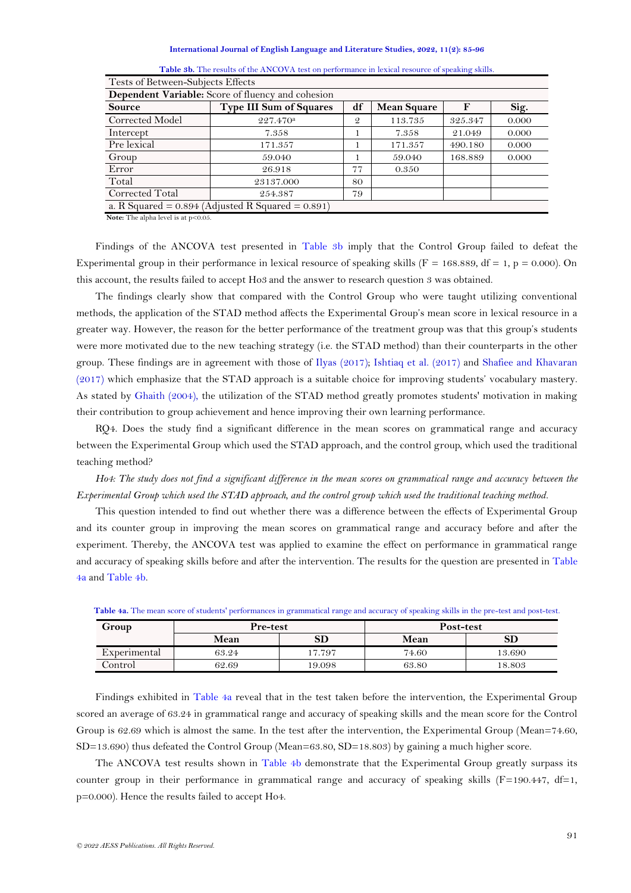#### **International Journal of English Language and Literature Studies, 2022, 11(2): 85-96**

| <b>Dependent Variable:</b> Score of fluency and cohesion |                                                        |               |                    |         |       |  |
|----------------------------------------------------------|--------------------------------------------------------|---------------|--------------------|---------|-------|--|
| <b>Source</b>                                            | <b>Type III Sum of Squares</b>                         | df            | <b>Mean Square</b> | F       | Sig.  |  |
| Corrected Model                                          | 227.470 <sup>a</sup>                                   | $\mathcal{Q}$ | 113.735            | 325.347 | 0.000 |  |
| Intercept                                                | 7.358                                                  |               | 7.358              | 21.049  | 0.000 |  |
| Pre lexical                                              | 171.357                                                |               | 171.357            | 490.180 | 0.000 |  |
| Group                                                    | 59.040                                                 |               | 59.040             | 168.889 | 0.000 |  |
| Error                                                    | 26.918                                                 | 77            | 0.350              |         |       |  |
| Total                                                    | 23137.000                                              | 80            |                    |         |       |  |
| Corrected Total                                          | 254.387                                                | 79            |                    |         |       |  |
|                                                          | a. R Squared = $0.894$ (Adjusted R Squared = $0.891$ ) |               |                    |         |       |  |

Table 3b. The results of the ANCOVA test on performance in lexical resource of speaking skills.

**Note:** The alpha level is at p<0.05.

<span id="page-6-0"></span>Tests of Between-Subjects Effects

Findings of the ANCOVA test presented in [Table 3b](#page-6-0) imply that the Control Group failed to defeat the Experimental group in their performance in lexical resource of speaking skills ( $F = 168.889$ , df = 1, p = 0.000). On this account, the results failed to accept Ho3 and the answer to research question 3 was obtained.

The findings clearly show that compared with the Control Group who were taught utilizing conventional methods, the application of the STAD method affects the Experimental Group's mean score in lexical resource in a greater way. However, the reason for the better performance of the treatment group was that this group's students were more motivated due to the new teaching strategy (i.e. the STAD method) than their counterparts in the other group. These findings are in agreement with those of [Ilyas \(2017\)](#page-10-12); [Ishtiaq et al. \(2017\)](#page-10-13) and [Shafiee and Khavaran](#page-11-15)  [\(2017\)](#page-11-15) which emphasize that the STAD approach is a suitable choice for improving students' vocabulary mastery. As stated by [Ghaith \(2004\)](#page-10-7), the utilization of the STAD method greatly promotes students' motivation in making their contribution to group achievement and hence improving their own learning performance.

RQ4. Does the study find a significant difference in the mean scores on grammatical range and accuracy between the Experimental Group which used the STAD approach, and the control group, which used the traditional teaching method?

*Ho4: The study does not find a significant difference in the mean scores on grammatical range and accuracy between the Experimental Group which used the STAD approach, and the control group which used the traditional teaching method.*

This question intended to find out whether there was a difference between the effects of Experimental Group and its counter group in improving the mean scores on grammatical range and accuracy before and after the experiment. Thereby, the ANCOVA test was applied to examine the effect on performance in grammatical range and accuracy of speaking skills before and after the intervention. The results for the question are presented in [Table](#page-6-1)  [4a](#page-6-1) and [Table 4b.](#page-7-0)

| Group        | Pre-test |        | Post-test |        |
|--------------|----------|--------|-----------|--------|
|              | Mean     | SD     | Mean      | SD     |
| Experimental | 63.24    | 17.797 | 74.60     | 13.690 |
| Control      | 62.69    | 19.098 | 63.80     | 18.803 |

<span id="page-6-1"></span>Table 4a. The mean score of students' performances in grammatical range and accuracy of speaking skills in the pre-test and post-test.

Findings exhibited in [Table 4a](#page-6-1) reveal that in the test taken before the intervention, the Experimental Group scored an average of 63.24 in grammatical range and accuracy of speaking skills and the mean score for the Control Group is 62.69 which is almost the same. In the test after the intervention, the Experimental Group (Mean=74.60, SD=13.690) thus defeated the Control Group (Mean=63.80, SD=18.803) by gaining a much higher score.

The ANCOVA test results shown in [Table 4b](#page-7-0) demonstrate that the Experimental Group greatly surpass its counter group in their performance in grammatical range and accuracy of speaking skills ( $F=190.447$ , df=1, p=0.000). Hence the results failed to accept Ho4.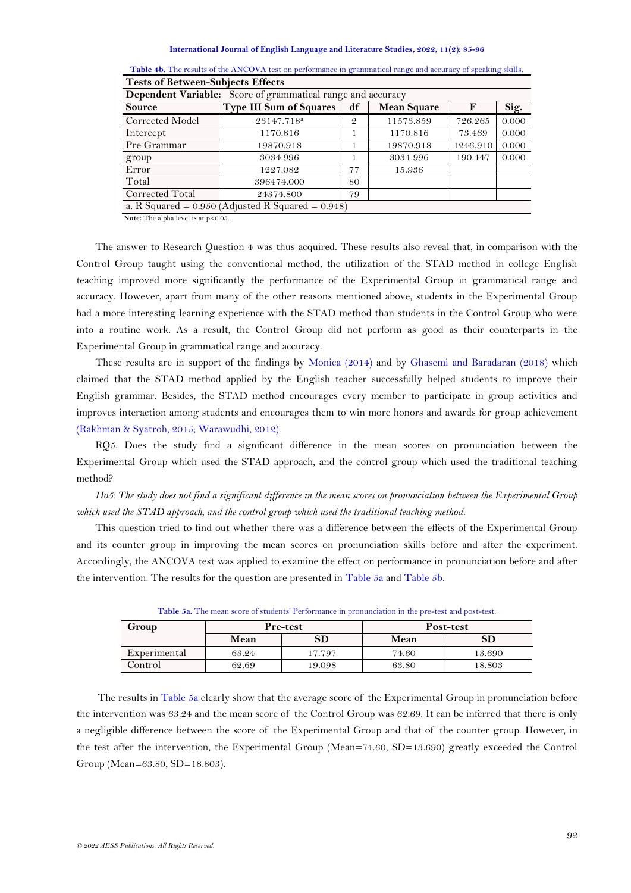| Dependent Variable: Score of grammatical range and accuracy |                                                        |               |                    |          |       |  |
|-------------------------------------------------------------|--------------------------------------------------------|---------------|--------------------|----------|-------|--|
| Source                                                      | <b>Type III Sum of Squares</b>                         | df            | <b>Mean Square</b> | F        | Sig.  |  |
| Corrected Model                                             | 23147.718 <sup>a</sup>                                 | $\mathcal{Q}$ | 11573.859          | 726.265  | 0.000 |  |
| Intercept                                                   | 1170.816                                               |               | 1170.816           | 73.469   | 0.000 |  |
| Pre Grammar                                                 | 19870.918                                              |               | 19870.918          | 1246.910 | 0.000 |  |
| group                                                       | 3034.996                                               |               | 3034.996           | 190.447  | 0.000 |  |
| Error                                                       | 1227.082                                               | 77            | 15.936             |          |       |  |
| Total                                                       | 396474.000                                             | 80            |                    |          |       |  |
| Corrected Total                                             | 24374.800                                              | 79            |                    |          |       |  |
|                                                             | a. R Squared = $0.950$ (Adjusted R Squared = $0.948$ ) |               |                    |          |       |  |

<span id="page-7-0"></span>Table 4b. The results of the ANCOVA test on performance in grammatical range and accuracy of speaking skills. **Tests of Between-Subjects Effects**

**Note:** The alpha level is at p<0.05.

The answer to Research Question 4 was thus acquired. These results also reveal that, in comparison with the Control Group taught using the conventional method, the utilization of the STAD method in college English teaching improved more significantly the performance of the Experimental Group in grammatical range and accuracy. However, apart from many of the other reasons mentioned above, students in the Experimental Group had a more interesting learning experience with the STAD method than students in the Control Group who were into a routine work. As a result, the Control Group did not perform as good as their counterparts in the Experimental Group in grammatical range and accuracy.

These results are in support of the findings by [Monica \(2014\)](#page-10-14) and by [Ghasemi and Baradaran \(2018\)](#page-10-15) which claimed that the STAD method applied by the English teacher successfully helped students to improve their English grammar. Besides, the STAD method encourages every member to participate in group activities and improves interaction among students and encourages them to win more honors and awards for group achievement [\(Rakhman & Syatroh, 2015;](#page-11-8) [Warawudhi, 2012\)](#page-11-9).

RQ5. Does the study find a significant difference in the mean scores on pronunciation between the Experimental Group which used the STAD approach, and the control group which used the traditional teaching method?

*Ho5: The study does not find a significant difference in the mean scores on pronunciation between the Experimental Group which used the STAD approach, and the control group which used the traditional teaching method.*

This question tried to find out whether there was a difference between the effects of the Experimental Group and its counter group in improving the mean scores on pronunciation skills before and after the experiment. Accordingly, the ANCOVA test was applied to examine the effect on performance in pronunciation before and after the intervention. The results for the question are presented in [Table 5a](#page-7-1) and [Table 5b.](#page-7-2)

<span id="page-7-1"></span>

| Group        | <b>Pre-test</b> |        |       | Post-test |
|--------------|-----------------|--------|-------|-----------|
|              | Mean            | SD     | Mean  | SD        |
| Experimental | 63.24           | 17.797 | 74.60 | 13.690    |
| Control      | 62.69           | 19.098 | 63.80 | 18.803    |

**Table 5a.** The mean score of students' Performance in pronunciation in the pre-test and post-test.

<span id="page-7-2"></span>The results in [Table 5a](#page-7-1) clearly show that the average score of the Experimental Group in pronunciation before the intervention was 63.24 and the mean score of the Control Group was 62.69. It can be inferred that there is only a negligible difference between the score of the Experimental Group and that of the counter group. However, in the test after the intervention, the Experimental Group (Mean=74.60, SD=13.690) greatly exceeded the Control Group (Mean=63.80, SD=18.803).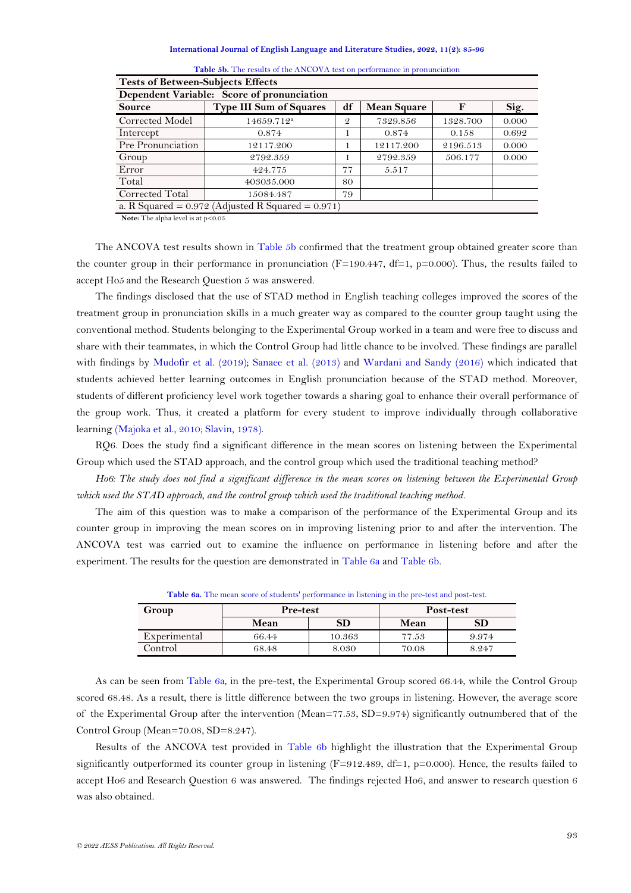#### **International Journal of English Language and Literature Studies, 2022, 11(2): 85-96**

| <b>Tests of Between-Subjects Effects</b>   |                                                        |               |                    |          |       |  |  |
|--------------------------------------------|--------------------------------------------------------|---------------|--------------------|----------|-------|--|--|
| Dependent Variable: Score of pronunciation |                                                        |               |                    |          |       |  |  |
| <b>Source</b>                              | <b>Type III Sum of Squares</b>                         | df            | <b>Mean Square</b> | F        | Sig.  |  |  |
| Corrected Model                            | 14659.712 <sup>a</sup>                                 | $\mathcal{Q}$ | 7329.856           | 1328.700 | 0.000 |  |  |
| Intercept                                  | 0.874                                                  |               | 0.874              | 0.158    | 0.692 |  |  |
| Pre Pronunciation                          | 12117.200                                              |               | 12117.200          | 2196.513 | 0.000 |  |  |
| Group                                      | 2792.359                                               |               | 2792.359           | 506.177  | 0.000 |  |  |
| Error                                      | 424.775                                                | 77            | 5.517              |          |       |  |  |
| Total                                      | 403035.000                                             | 80            |                    |          |       |  |  |
| Corrected Total                            | 15084.487                                              | 79            |                    |          |       |  |  |
|                                            | a. R Squared = $0.972$ (Adjusted R Squared = $0.971$ ) |               |                    |          |       |  |  |

| <b>Table 5b.</b> The results of the ANCOVA test on performance in pronunciation |  |  |
|---------------------------------------------------------------------------------|--|--|
|---------------------------------------------------------------------------------|--|--|

**Note:** The alpha level is at  $p < 0.05$ .

The ANCOVA test results shown in [Table 5b](#page-7-2) confirmed that the treatment group obtained greater score than the counter group in their performance in pronunciation ( $F=190.447$ ,  $df=1$ , p=0.000). Thus, the results failed to accept Ho5 and the Research Question 5 was answered.

The findings disclosed that the use of STAD method in English teaching colleges improved the scores of the treatment group in pronunciation skills in a much greater way as compared to the counter group taught using the conventional method. Students belonging to the Experimental Group worked in a team and were free to discuss and share with their teammates, in which the Control Group had little chance to be involved. These findings are parallel with findings by [Mudofir et al. \(2019\)](#page-10-11); [Sanaee et al. \(2013\)](#page-11-13) and [Wardani and Sandy \(2016\)](#page-11-14) which indicated that students achieved better learning outcomes in English pronunciation because of the STAD method. Moreover, students of different proficiency level work together towards a sharing goal to enhance their overall performance of the group work. Thus, it created a platform for every student to improve individually through collaborative learning [\(Majoka et al., 2010;](#page-10-6) [Slavin, 1978\)](#page-11-4).

RQ6. Does the study find a significant difference in the mean scores on listening between the Experimental Group which used the STAD approach, and the control group which used the traditional teaching method?

*Ho6: The study does not find a significant difference in the mean scores on listening between the Experimental Group which used the STAD approach, and the control group which used the traditional teaching method.*

The aim of this question was to make a comparison of the performance of the Experimental Group and its counter group in improving the mean scores on in improving listening prior to and after the intervention. The ANCOVA test was carried out to examine the influence on performance in listening before and after the experiment. The results for the question are demonstrated in [Table 6a](#page-8-0) and [Table 6b.](#page-8-1)

<span id="page-8-0"></span>

| Group        | <b>Pre-test</b> |        |       | Post-test |
|--------------|-----------------|--------|-------|-----------|
|              | Mean            | SD     | Mean  | SD        |
| Experimental | 66.44           | 10.363 | 77.53 | 9.974     |
| Control      | 68.48           | 8.030  | 70.08 | 8.247     |

**Table 6a.** The mean score of students' performance in listening in the pre-test and post-test.

As can be seen from [Table 6a,](#page-8-0) in the pre-test, the Experimental Group scored 66.44, while the Control Group scored 68.48. As a result, there is little difference between the two groups in listening. However, the average score of the Experimental Group after the intervention (Mean=77.53, SD=9.974) significantly outnumbered that of the Control Group (Mean=70.08, SD=8.247).

<span id="page-8-1"></span>Results of the ANCOVA test provided in [Table 6b](#page-8-1) highlight the illustration that the Experimental Group significantly outperformed its counter group in listening ( $F=912.489$ ,  $df=1$ ,  $p=0.000$ ). Hence, the results failed to accept Ho6 and Research Question 6 was answered. The findings rejected Ho6, and answer to research question 6 was also obtained.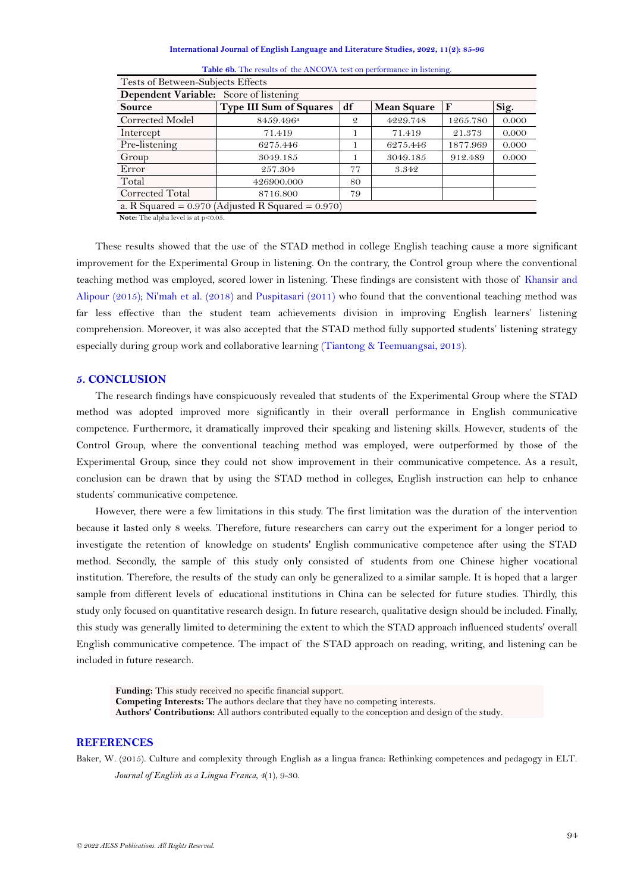#### **International Journal of English Language and Literature Studies, 2022, 11(2): 85-96**

| Tests of Between-Subjects Effects                      |                         |               |                    |          |       |
|--------------------------------------------------------|-------------------------|---------------|--------------------|----------|-------|
| Dependent Variable: Score of listening                 |                         |               |                    |          |       |
| <b>Source</b>                                          | Type III Sum of Squares | df            | <b>Mean Square</b> | F        | Sig.  |
| Corrected Model                                        | 8459.496 <sup>a</sup>   | $\mathcal{Q}$ | 4229.748           | 1265.780 | 0.000 |
| Intercept                                              | 71.419                  |               | 71.419             | 21.373   | 0.000 |
| Pre-listening                                          | 6275.446                |               | 6275.446           | 1877.969 | 0.000 |
| Group                                                  | 3049.185                |               | 3049.185           | 912.489  | 0.000 |
| Error                                                  | 257.304                 | 77            | 3.342              |          |       |
| Total                                                  | 426900.000              | 80            |                    |          |       |
| Corrected Total                                        | 8716.800                | 79            |                    |          |       |
| a. R Squared = $0.970$ (Adjusted R Squared = $0.970$ ) |                         |               |                    |          |       |

Table 6b. The results of the ANCOVA test on performance in listening.

**Note:** The alpha level is at p<0.05.

These results showed that the use of the STAD method in college English teaching cause a more significant improvement for the Experimental Group in listening. On the contrary, the Control group where the conventional teaching method was employed, scored lower in listening. These findings are consistent with those of [Khansir and](#page-10-16)  [Alipour \(2015\)](#page-10-16); [Ni'mah et al. \(2018\)](#page-10-17) and [Puspitasari \(2011\)](#page-11-16) who found that the conventional teaching method was far less effective than the student team achievements division in improving English learners' listening comprehension. Moreover, it was also accepted that the STAD method fully supported students' listening strategy especially during group work and collaborative learning [\(Tiantong & Teemuangsai, 2013\)](#page-11-5).

# **5. CONCLUSION**

The research findings have conspicuously revealed that students of the Experimental Group where the STAD method was adopted improved more significantly in their overall performance in English communicative competence. Furthermore, it dramatically improved their speaking and listening skills. However, students of the Control Group, where the conventional teaching method was employed, were outperformed by those of the Experimental Group, since they could not show improvement in their communicative competence. As a result, conclusion can be drawn that by using the STAD method in colleges, English instruction can help to enhance students' communicative competence.

However, there were a few limitations in this study. The first limitation was the duration of the intervention because it lasted only 8 weeks. Therefore, future researchers can carry out the experiment for a longer period to investigate the retention of knowledge on students' English communicative competence after using the STAD method. Secondly, the sample of this study only consisted of students from one Chinese higher vocational institution. Therefore, the results of the study can only be generalized to a similar sample. It is hoped that a larger sample from different levels of educational institutions in China can be selected for future studies. Thirdly, this study only focused on quantitative research design. In future research, qualitative design should be included. Finally, this study was generally limited to determining the extent to which the STAD approach influenced students' overall English communicative competence. The impact of the STAD approach on reading, writing, and listening can be included in future research.

**Funding:** This study received no specific financial support. **Competing Interests:** The authors declare that they have no competing interests. **Authors' Contributions:** All authors contributed equally to the conception and design of the study.

## **REFERENCES**

<span id="page-9-0"></span>Baker, W. (2015). Culture and complexity through English as a lingua franca: Rethinking competences and pedagogy in ELT. *Journal of English as a Lingua Franca, 4*(1), 9-30.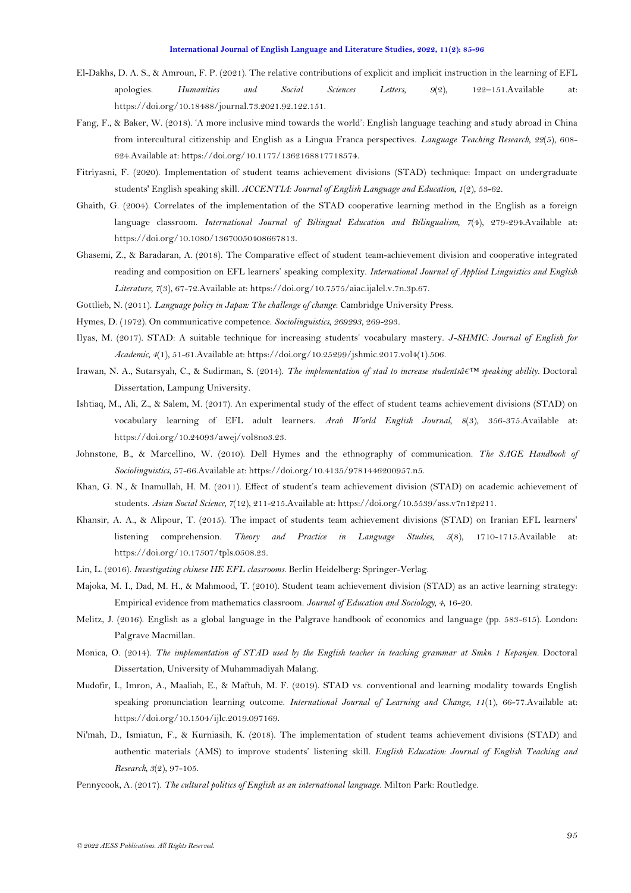- <span id="page-10-2"></span>El-Dakhs, D. A. S., & Amroun, F. P. (2021). The relative contributions of explicit and implicit instruction in the learning of EFL apologies. *Humanities and Social Sciences Letters, 9*(2), 122–151.Available at: https://doi.org/10.18488/journal.73.2021.92.122.151.
- <span id="page-10-4"></span>Fang, F., & Baker, W. (2018). 'A more inclusive mind towards the world': English language teaching and study abroad in China from intercultural citizenship and English as a Lingua Franca perspectives. *Language Teaching Research, 22*(5), 608- 624.Available at: https://doi.org/10.1177/1362168817718574.
- <span id="page-10-10"></span>Fitriyasni, F. (2020). Implementation of student teams achievement divisions (STAD) technique: Impact on undergraduate students' English speaking skill. *ACCENTIA: Journal of English Language and Education, 1*(2), 53-62.
- <span id="page-10-7"></span>Ghaith, G. (2004). Correlates of the implementation of the STAD cooperative learning method in the English as a foreign language classroom. *International Journal of Bilingual Education and Bilingualism, 7*(4), 279-294.Available at: https://doi.org/10.1080/13670050408667813.
- <span id="page-10-15"></span>Ghasemi, Z., & Baradaran, A. (2018). The Comparative effect of student team-achievement division and cooperative integrated reading and composition on EFL learners' speaking complexity. *International Journal of Applied Linguistics and English Literature, 7*(3), 67-72.Available at: https://doi.org/10.7575/aiac.ijalel.v.7n.3p.67.
- <span id="page-10-5"></span>Gottlieb, N. (2011). *Language policy in Japan: The challenge of change*: Cambridge University Press.
- <span id="page-10-18"></span>Hymes, D. (1972). On communicative competence. *Sociolinguistics, 269293*, 269-293.
- <span id="page-10-12"></span>Ilyas, M. (2017). STAD: A suitable technique for increasing students' vocabulary mastery. *J-SHMIC: Journal of English for Academic, 4*(1), 51-61.Available at: https://doi.org/10.25299/jshmic.2017.vol4(1).506.
- <span id="page-10-9"></span>Irawan, N. A., Sutarsyah, C., & Sudirman, S. (2014). *The implementation of stad to increase studentsâ€™ speaking ability.* Doctoral Dissertation, Lampung University.
- <span id="page-10-13"></span>Ishtiaq, M., Ali, Z., & Salem, M. (2017). An experimental study of the effect of student teams achievement divisions (STAD) on vocabulary learning of EFL adult learners. *Arab World English Journal, 8*(3), 356-375.Available at: https://doi.org/10.24093/awej/vol8no3.23.
- <span id="page-10-19"></span>Johnstone, B., & Marcellino, W. (2010). Dell Hymes and the ethnography of communication. *The SAGE Handbook of Sociolinguistics*, 57-66.Available at: https://doi.org/10.4135/9781446200957.n5.
- <span id="page-10-8"></span>Khan, G. N., & Inamullah, H. M. (2011). Effect of student's team achievement division (STAD) on academic achievement of students. *Asian Social Science, 7*(12), 211-215.Available at: https://doi.org/10.5539/ass.v7n12p211.
- <span id="page-10-16"></span>Khansir, A. A., & Alipour, T. (2015). The impact of students team achievement divisions (STAD) on Iranian EFL learners' listening comprehension. *Theory and Practice in Language Studies, 5*(8), 1710-1715.Available at: https://doi.org/10.17507/tpls.0508.23.
- <span id="page-10-3"></span>Lin, L. (2016). *Investigating chinese HE EFL classrooms*. Berlin Heidelberg: Springer-Verlag.
- <span id="page-10-6"></span>Majoka, M. I., Dad, M. H., & Mahmood, T. (2010). Student team achievement division (STAD) as an active learning strategy: Empirical evidence from mathematics classroom. *Journal of Education and Sociology, 4*, 16-20.
- <span id="page-10-0"></span>Melitz, J. (2016). English as a global language in the Palgrave handbook of economics and language (pp. 583-615). London: Palgrave Macmillan.
- <span id="page-10-14"></span>Monica, O. (2014). *The implementation of STAD used by the English teacher in teaching grammar at Smkn 1 Kepanjen.* Doctoral Dissertation, University of Muhammadiyah Malang.
- <span id="page-10-11"></span>Mudofir, I., Imron, A., Maaliah, E., & Maftuh, M. F. (2019). STAD vs. conventional and learning modality towards English speaking pronunciation learning outcome. *International Journal of Learning and Change, 11*(1), 66-77.Available at: https://doi.org/10.1504/ijlc.2019.097169.
- <span id="page-10-17"></span>Ni'mah, D., Ismiatun, F., & Kurniasih, K. (2018). The implementation of student teams achievement divisions (STAD) and authentic materials (AMS) to improve students' listening skill. *English Education: Journal of English Teaching and Research, 3*(2), 97-105.
- <span id="page-10-1"></span>Pennycook, A. (2017). *The cultural politics of English as an international language*. Milton Park: Routledge.